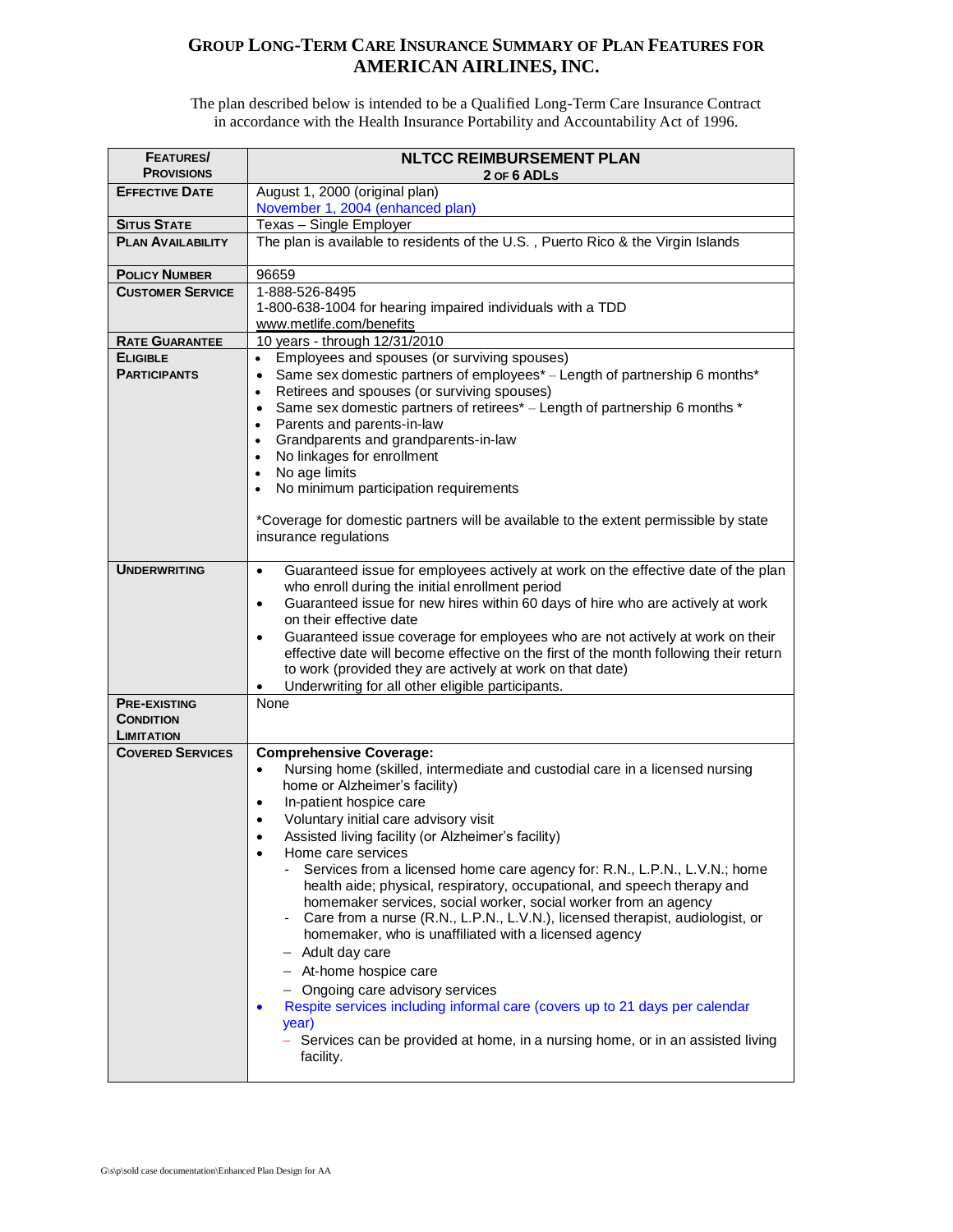## **GROUP LONG-TERM CARE INSURANCE SUMMARY OF PLAN FEATURES FOR AMERICAN AIRLINES,INC.**

The plan described below is intended to be a Qualified Long-Term Care Insurance Contract in accordance with the Health Insurance Portability and Accountability Act of 1996.

| <b>FEATURES/</b><br><b>PROVISIONS</b>   | <b>NLTCC REIMBURSEMENT PLAN</b><br>2 OF 6 ADLS                                                                                                    |
|-----------------------------------------|---------------------------------------------------------------------------------------------------------------------------------------------------|
| <b>EFFECTIVE DATE</b>                   | August 1, 2000 (original plan)                                                                                                                    |
|                                         | November 1, 2004 (enhanced plan)                                                                                                                  |
| <b>SITUS STATE</b>                      | Texas - Single Employer                                                                                                                           |
| <b>PLAN AVAILABILITY</b>                | The plan is available to residents of the U.S., Puerto Rico & the Virgin Islands                                                                  |
| <b>POLICY NUMBER</b>                    | 96659                                                                                                                                             |
| <b>CUSTOMER SERVICE</b>                 | 1-888-526-8495                                                                                                                                    |
|                                         | 1-800-638-1004 for hearing impaired individuals with a TDD                                                                                        |
| <b>RATE GUARANTEE</b>                   | www.metlife.com/benefits<br>10 years - through 12/31/2010                                                                                         |
| <b>ELIGIBLE</b>                         | Employees and spouses (or surviving spouses)<br>$\bullet$                                                                                         |
| <b>PARTICIPANTS</b>                     | Same sex domestic partners of employees* – Length of partnership 6 months*<br>$\bullet$                                                           |
|                                         | Retirees and spouses (or surviving spouses)<br>$\bullet$                                                                                          |
|                                         | Same sex domestic partners of retirees* - Length of partnership 6 months *<br>$\bullet$                                                           |
|                                         | Parents and parents-in-law<br>$\bullet$                                                                                                           |
|                                         | Grandparents and grandparents-in-law<br>$\bullet$                                                                                                 |
|                                         | No linkages for enrollment<br>$\bullet$<br>No age limits<br>$\bullet$                                                                             |
|                                         | No minimum participation requirements                                                                                                             |
|                                         |                                                                                                                                                   |
|                                         | *Coverage for domestic partners will be available to the extent permissible by state                                                              |
|                                         | insurance regulations                                                                                                                             |
| <b>UNDERWRITING</b>                     |                                                                                                                                                   |
|                                         | Guaranteed issue for employees actively at work on the effective date of the plan<br>$\bullet$<br>who enroll during the initial enrollment period |
|                                         | Guaranteed issue for new hires within 60 days of hire who are actively at work<br>$\bullet$                                                       |
|                                         | on their effective date                                                                                                                           |
|                                         | Guaranteed issue coverage for employees who are not actively at work on their<br>$\bullet$                                                        |
|                                         | effective date will become effective on the first of the month following their return                                                             |
|                                         | to work (provided they are actively at work on that date)                                                                                         |
|                                         | Underwriting for all other eligible participants.                                                                                                 |
| <b>PRE-EXISTING</b><br><b>CONDITION</b> | None                                                                                                                                              |
| <b>LIMITATION</b>                       |                                                                                                                                                   |
| <b>COVERED SERVICES</b>                 | <b>Comprehensive Coverage:</b>                                                                                                                    |
|                                         | Nursing home (skilled, intermediate and custodial care in a licensed nursing<br>$\bullet$                                                         |
|                                         | home or Alzheimer's facility)                                                                                                                     |
|                                         | In-patient hospice care<br>$\bullet$                                                                                                              |
|                                         | Voluntary initial care advisory visit<br>$\bullet$<br>Assisted living facility (or Alzheimer's facility)                                          |
|                                         | $\bullet$<br>Home care services<br>$\bullet$                                                                                                      |
|                                         | Services from a licensed home care agency for: R.N., L.P.N., L.V.N.; home                                                                         |
|                                         | health aide; physical, respiratory, occupational, and speech therapy and                                                                          |
|                                         | homemaker services, social worker, social worker from an agency                                                                                   |
|                                         | Care from a nurse (R.N., L.P.N., L.V.N.), licensed therapist, audiologist, or                                                                     |
|                                         | homemaker, who is unaffiliated with a licensed agency                                                                                             |
|                                         | - Adult day care                                                                                                                                  |
|                                         | - At-home hospice care                                                                                                                            |
|                                         | - Ongoing care advisory services                                                                                                                  |
|                                         | Respite services including informal care (covers up to 21 days per calendar<br>$\bullet$                                                          |
|                                         | year)<br>Services can be provided at home, in a nursing home, or in an assisted living                                                            |
|                                         | facility.                                                                                                                                         |
|                                         |                                                                                                                                                   |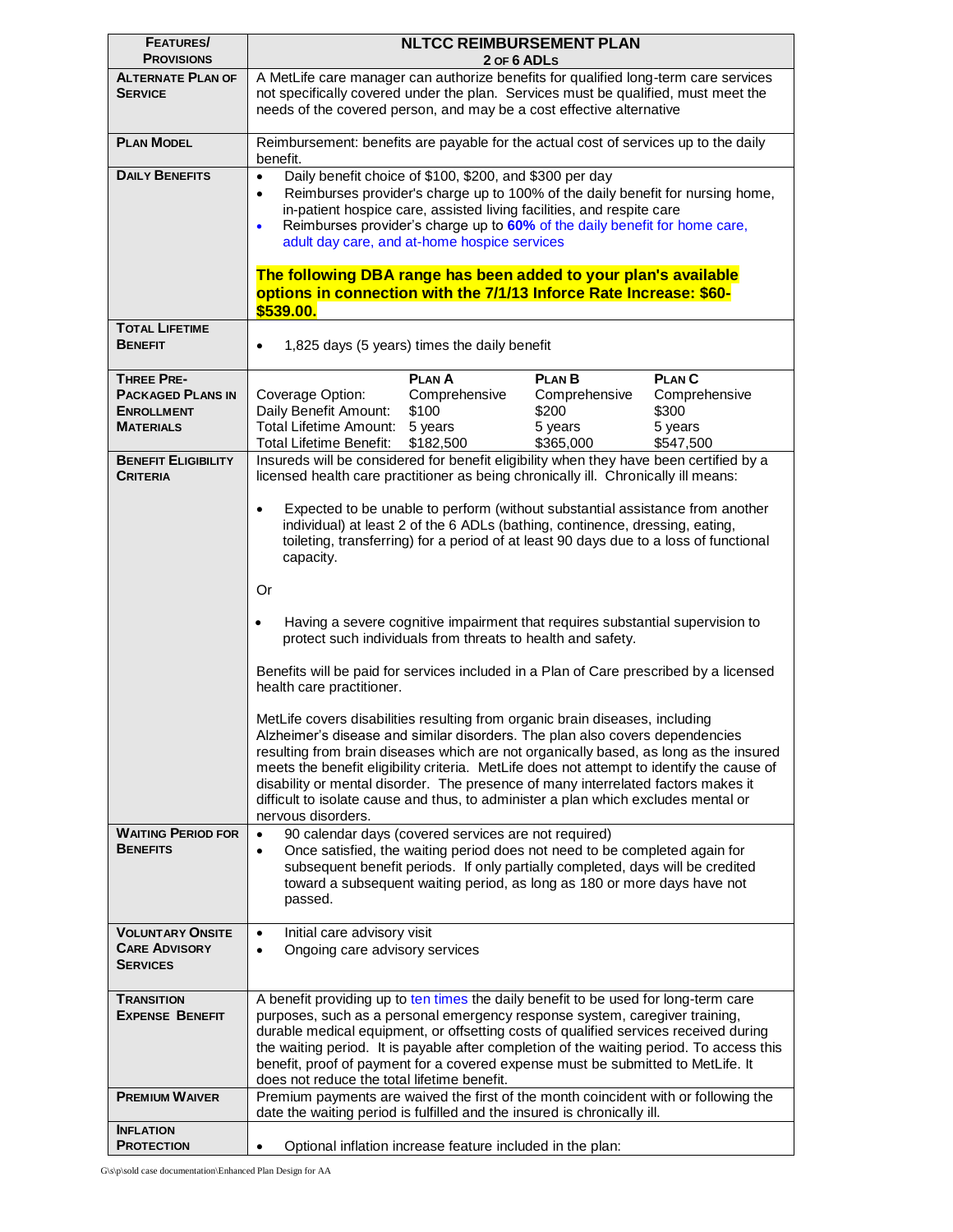| <b>FEATURES/</b><br><b>PROVISIONS</b>                                                  | <b>NLTCC REIMBURSEMENT PLAN</b><br>2 OF 6 ADLS                                                                                                                                                                                                                                                                                                                                                                                                                                                                                                                                                                                                                                                                                                                                                                                                                                                                                                                                                                                                                                                                                           |
|----------------------------------------------------------------------------------------|------------------------------------------------------------------------------------------------------------------------------------------------------------------------------------------------------------------------------------------------------------------------------------------------------------------------------------------------------------------------------------------------------------------------------------------------------------------------------------------------------------------------------------------------------------------------------------------------------------------------------------------------------------------------------------------------------------------------------------------------------------------------------------------------------------------------------------------------------------------------------------------------------------------------------------------------------------------------------------------------------------------------------------------------------------------------------------------------------------------------------------------|
| <b>ALTERNATE PLAN OF</b>                                                               | A MetLife care manager can authorize benefits for qualified long-term care services                                                                                                                                                                                                                                                                                                                                                                                                                                                                                                                                                                                                                                                                                                                                                                                                                                                                                                                                                                                                                                                      |
| <b>SERVICE</b>                                                                         | not specifically covered under the plan. Services must be qualified, must meet the<br>needs of the covered person, and may be a cost effective alternative                                                                                                                                                                                                                                                                                                                                                                                                                                                                                                                                                                                                                                                                                                                                                                                                                                                                                                                                                                               |
| <b>PLAN MODEL</b>                                                                      | Reimbursement: benefits are payable for the actual cost of services up to the daily<br>benefit.                                                                                                                                                                                                                                                                                                                                                                                                                                                                                                                                                                                                                                                                                                                                                                                                                                                                                                                                                                                                                                          |
| <b>DAILY BENEFITS</b>                                                                  | Daily benefit choice of \$100, \$200, and \$300 per day<br>$\bullet$<br>Reimburses provider's charge up to 100% of the daily benefit for nursing home,<br>$\bullet$<br>in-patient hospice care, assisted living facilities, and respite care<br>Reimburses provider's charge up to 60% of the daily benefit for home care,<br>$\bullet$<br>adult day care, and at-home hospice services<br>The following DBA range has been added to your plan's available                                                                                                                                                                                                                                                                                                                                                                                                                                                                                                                                                                                                                                                                               |
|                                                                                        | options in connection with the 7/1/13 Inforce Rate Increase: \$60-<br>\$539.00.                                                                                                                                                                                                                                                                                                                                                                                                                                                                                                                                                                                                                                                                                                                                                                                                                                                                                                                                                                                                                                                          |
| <b>TOTAL LIFETIME</b><br><b>BENEFIT</b>                                                | 1,825 days (5 years) times the daily benefit<br>$\bullet$                                                                                                                                                                                                                                                                                                                                                                                                                                                                                                                                                                                                                                                                                                                                                                                                                                                                                                                                                                                                                                                                                |
|                                                                                        |                                                                                                                                                                                                                                                                                                                                                                                                                                                                                                                                                                                                                                                                                                                                                                                                                                                                                                                                                                                                                                                                                                                                          |
| <b>THREE PRE-</b><br><b>PACKAGED PLANS IN</b><br><b>ENROLLMENT</b><br><b>MATERIALS</b> | <b>PLAN A</b><br><b>PLAN B</b><br><b>PLANC</b><br>Comprehensive<br>Comprehensive<br>Coverage Option:<br>Comprehensive<br>Daily Benefit Amount:<br>\$100<br>\$200<br>\$300<br>Total Lifetime Amount:<br>5 years<br>5 years<br>5 years<br>Total Lifetime Benefit:<br>\$182,500<br>\$365,000<br>\$547,500                                                                                                                                                                                                                                                                                                                                                                                                                                                                                                                                                                                                                                                                                                                                                                                                                                   |
| <b>BENEFIT ELIGIBILITY</b><br><b>CRITERIA</b>                                          | Insureds will be considered for benefit eligibility when they have been certified by a<br>licensed health care practitioner as being chronically ill. Chronically ill means:                                                                                                                                                                                                                                                                                                                                                                                                                                                                                                                                                                                                                                                                                                                                                                                                                                                                                                                                                             |
| <b>WAITING PERIOD FOR</b>                                                              | Expected to be unable to perform (without substantial assistance from another<br>$\bullet$<br>individual) at least 2 of the 6 ADLs (bathing, continence, dressing, eating,<br>toileting, transferring) for a period of at least 90 days due to a loss of functional<br>capacity.<br><b>Or</b><br>Having a severe cognitive impairment that requires substantial supervision to<br>$\bullet$<br>protect such individuals from threats to health and safety.<br>Benefits will be paid for services included in a Plan of Care prescribed by a licensed<br>health care practitioner.<br>MetLife covers disabilities resulting from organic brain diseases, including<br>Alzheimer's disease and similar disorders. The plan also covers dependencies<br>resulting from brain diseases which are not organically based, as long as the insured<br>meets the benefit eligibility criteria. MetLife does not attempt to identify the cause of<br>disability or mental disorder. The presence of many interrelated factors makes it<br>difficult to isolate cause and thus, to administer a plan which excludes mental or<br>nervous disorders. |
| <b>BENEFITS</b>                                                                        | 90 calendar days (covered services are not required)<br>$\bullet$<br>Once satisfied, the waiting period does not need to be completed again for<br>$\bullet$<br>subsequent benefit periods. If only partially completed, days will be credited<br>toward a subsequent waiting period, as long as 180 or more days have not<br>passed.                                                                                                                                                                                                                                                                                                                                                                                                                                                                                                                                                                                                                                                                                                                                                                                                    |
| <b>VOLUNTARY ONSITE</b><br><b>CARE ADVISORY</b><br><b>SERVICES</b>                     | Initial care advisory visit<br>$\bullet$<br>Ongoing care advisory services<br>$\bullet$                                                                                                                                                                                                                                                                                                                                                                                                                                                                                                                                                                                                                                                                                                                                                                                                                                                                                                                                                                                                                                                  |
| <b>TRANSITION</b><br><b>EXPENSE BENEFIT</b>                                            | A benefit providing up to ten times the daily benefit to be used for long-term care<br>purposes, such as a personal emergency response system, caregiver training,<br>durable medical equipment, or offsetting costs of qualified services received during<br>the waiting period. It is payable after completion of the waiting period. To access this<br>benefit, proof of payment for a covered expense must be submitted to MetLife. It<br>does not reduce the total lifetime benefit.                                                                                                                                                                                                                                                                                                                                                                                                                                                                                                                                                                                                                                                |
| <b>PREMIUM WAIVER</b>                                                                  | Premium payments are waived the first of the month coincident with or following the<br>date the waiting period is fulfilled and the insured is chronically ill.                                                                                                                                                                                                                                                                                                                                                                                                                                                                                                                                                                                                                                                                                                                                                                                                                                                                                                                                                                          |
| <b>INFLATION</b><br><b>PROTECTION</b>                                                  | Optional inflation increase feature included in the plan:<br>$\bullet$                                                                                                                                                                                                                                                                                                                                                                                                                                                                                                                                                                                                                                                                                                                                                                                                                                                                                                                                                                                                                                                                   |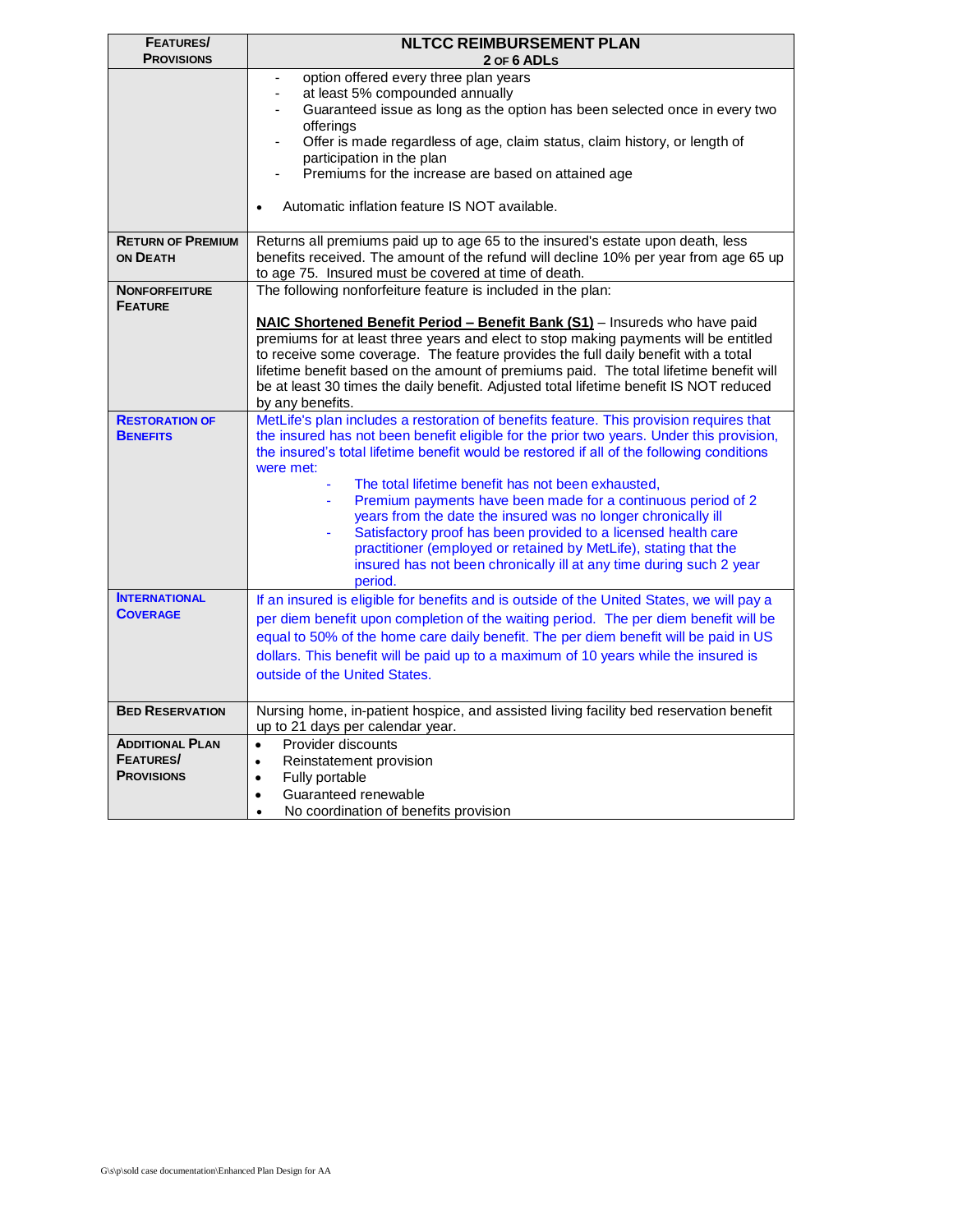| <b>FEATURES/</b>                       | <b>NLTCC REIMBURSEMENT PLAN</b>                                                                                                                                                       |
|----------------------------------------|---------------------------------------------------------------------------------------------------------------------------------------------------------------------------------------|
| <b>PROVISIONS</b>                      | 2 OF 6 ADLS                                                                                                                                                                           |
|                                        | option offered every three plan years<br>$\overline{\phantom{a}}$                                                                                                                     |
|                                        | at least 5% compounded annually<br>$\blacksquare$                                                                                                                                     |
|                                        | Guaranteed issue as long as the option has been selected once in every two<br>٠<br>offerings                                                                                          |
|                                        | Offer is made regardless of age, claim status, claim history, or length of                                                                                                            |
|                                        | participation in the plan                                                                                                                                                             |
|                                        | Premiums for the increase are based on attained age                                                                                                                                   |
|                                        | Automatic inflation feature IS NOT available.<br>$\bullet$                                                                                                                            |
| <b>RETURN OF PREMIUM</b>               | Returns all premiums paid up to age 65 to the insured's estate upon death, less                                                                                                       |
| ON DEATH                               | benefits received. The amount of the refund will decline 10% per year from age 65 up                                                                                                  |
|                                        | to age 75. Insured must be covered at time of death.                                                                                                                                  |
| <b>NONFORFEITURE</b><br><b>FEATURE</b> | The following nonforfeiture feature is included in the plan:                                                                                                                          |
|                                        | NAIC Shortened Benefit Period - Benefit Bank (S1) - Insureds who have paid                                                                                                            |
|                                        | premiums for at least three years and elect to stop making payments will be entitled                                                                                                  |
|                                        | to receive some coverage. The feature provides the full daily benefit with a total                                                                                                    |
|                                        | lifetime benefit based on the amount of premiums paid. The total lifetime benefit will                                                                                                |
|                                        | be at least 30 times the daily benefit. Adjusted total lifetime benefit IS NOT reduced                                                                                                |
|                                        | by any benefits.                                                                                                                                                                      |
| <b>RESTORATION OF</b>                  | MetLife's plan includes a restoration of benefits feature. This provision requires that                                                                                               |
| <b>BENEFITS</b>                        | the insured has not been benefit eligible for the prior two years. Under this provision,<br>the insured's total lifetime benefit would be restored if all of the following conditions |
|                                        | were met:                                                                                                                                                                             |
|                                        | The total lifetime benefit has not been exhausted,                                                                                                                                    |
|                                        | Premium payments have been made for a continuous period of 2                                                                                                                          |
|                                        | years from the date the insured was no longer chronically ill                                                                                                                         |
|                                        | Satisfactory proof has been provided to a licensed health care                                                                                                                        |
|                                        | practitioner (employed or retained by MetLife), stating that the                                                                                                                      |
|                                        | insured has not been chronically ill at any time during such 2 year                                                                                                                   |
|                                        | period.                                                                                                                                                                               |
| <b>INTERNATIONAL</b>                   | If an insured is eligible for benefits and is outside of the United States, we will pay a                                                                                             |
| <b>COVERAGE</b>                        | per diem benefit upon completion of the waiting period. The per diem benefit will be                                                                                                  |
|                                        | equal to 50% of the home care daily benefit. The per diem benefit will be paid in US                                                                                                  |
|                                        | dollars. This benefit will be paid up to a maximum of 10 years while the insured is                                                                                                   |
|                                        | outside of the United States.                                                                                                                                                         |
|                                        |                                                                                                                                                                                       |
| <b>BED RESERVATION</b>                 | Nursing home, in-patient hospice, and assisted living facility bed reservation benefit                                                                                                |
|                                        | up to 21 days per calendar year.                                                                                                                                                      |
| <b>ADDITIONAL PLAN</b>                 | Provider discounts<br>$\bullet$                                                                                                                                                       |
| <b>FEATURES/</b>                       | Reinstatement provision<br>$\bullet$                                                                                                                                                  |
| <b>PROVISIONS</b>                      | Fully portable<br>$\bullet$                                                                                                                                                           |
|                                        | Guaranteed renewable<br>$\bullet$                                                                                                                                                     |
|                                        | No coordination of benefits provision<br>$\bullet$                                                                                                                                    |